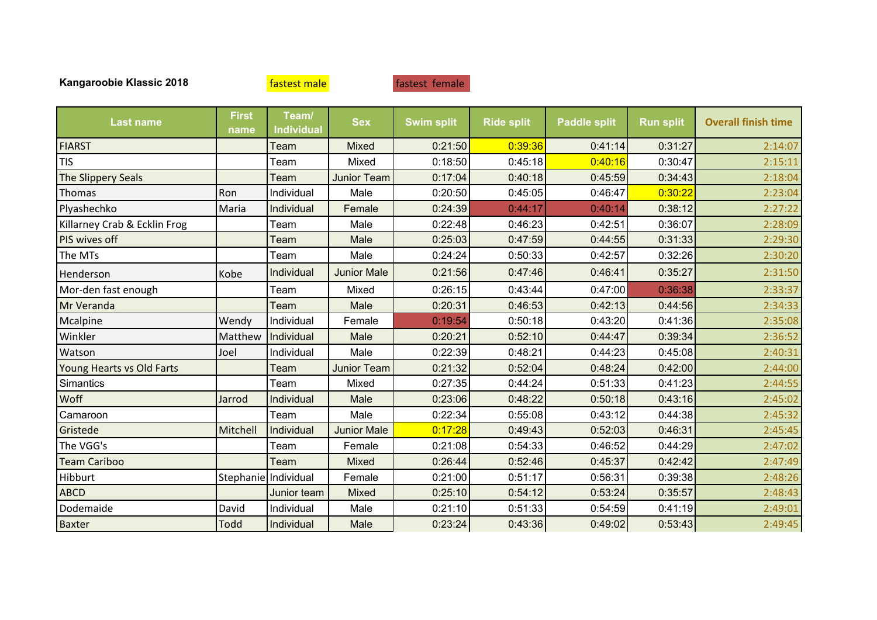| <b>Last name</b>             | <b>First</b><br>name | Team/<br><b>Individual</b> | <b>Sex</b>         | <b>Swim split</b> | <b>Ride split</b> | <b>Paddle split</b> | <b>Run split</b> | <b>Overall finish time</b> |
|------------------------------|----------------------|----------------------------|--------------------|-------------------|-------------------|---------------------|------------------|----------------------------|
| <b>FIARST</b>                |                      | Team                       | <b>Mixed</b>       | 0:21:50           | 0:39:36           | 0:41:14             | 0:31:27          | 2:14:07                    |
| <b>TIS</b>                   |                      | Team                       | Mixed              | 0:18:50           | 0:45:18           | 0:40:16             | 0:30:47          | 2:15:11                    |
| The Slippery Seals           |                      | Team                       | <b>Junior Team</b> | 0:17:04           | 0:40:18           | 0:45:59             | 0:34:43          | 2:18:04                    |
| Thomas                       | Ron                  | Individual                 | Male               | 0:20:50           | 0:45:05           | 0:46:47             | 0:30:22          | 2:23:04                    |
| Plyashechko                  | Maria                | Individual                 | Female             | 0:24:39           | 0:44:17           | 0:40:14             | 0:38:12          | 2:27:22                    |
| Killarney Crab & Ecklin Frog |                      | Team                       | Male               | 0:22:48           | 0:46:23           | 0:42:51             | 0:36:07          | 2:28:09                    |
| PIS wives off                |                      | Team                       | Male               | 0:25:03           | 0:47:59           | 0:44:55             | 0:31:33          | 2:29:30                    |
| The MTs                      |                      | Team                       | Male               | 0:24:24           | 0:50:33           | 0:42:57             | 0:32:26          | 2:30:20                    |
| Henderson                    | Kobe                 | Individual                 | <b>Junior Male</b> | 0:21:56           | 0:47:46           | 0:46:41             | 0:35:27          | 2:31:50                    |
| Mor-den fast enough          |                      | Team                       | Mixed              | 0:26:15           | 0:43:44           | 0:47:00             | 0:36:38          | 2:33:37                    |
| Mr Veranda                   |                      | Team                       | Male               | 0:20:31           | 0:46:53           | 0:42:13             | 0:44:56          | 2:34:33                    |
| Mcalpine                     | Wendy                | Individual                 | Female             | 0:19:54           | 0:50:18           | 0:43:20             | 0:41:36          | 2:35:08                    |
| Winkler                      | Matthew              | Individual                 | Male               | 0:20:21           | 0:52:10           | 0:44:47             | 0:39:34          | 2:36:52                    |
| Watson                       | Joel                 | Individual                 | Male               | 0:22:39           | 0:48:21           | 0:44:23             | 0:45:08          | 2:40:31                    |
| Young Hearts vs Old Farts    |                      | Team                       | <b>Junior Team</b> | 0:21:32           | 0:52:04           | 0:48:24             | 0:42:00          | 2:44:00                    |
| Simantics                    |                      | Team                       | Mixed              | 0:27:35           | 0:44:24           | 0:51:33             | 0:41:23          | 2:44:55                    |
| Woff                         | Jarrod               | Individual                 | Male               | 0:23:06           | 0:48:22           | 0:50:18             | 0:43:16          | 2:45:02                    |
| Camaroon                     |                      | Team                       | Male               | 0:22:34           | 0:55:08           | 0:43:12             | 0:44:38          | 2:45:32                    |
| Gristede                     | Mitchell             | Individual                 | <b>Junior Male</b> | 0:17:28           | 0:49:43           | 0:52:03             | 0:46:31          | 2:45:45                    |
| The VGG's                    |                      | Team                       | Female             | 0:21:08           | 0:54:33           | 0:46:52             | 0:44:29          | 2:47:02                    |
| <b>Team Cariboo</b>          |                      | Team                       | Mixed              | 0:26:44           | 0:52:46           | 0:45:37             | 0:42:42          | 2:47:49                    |
| Hibburt                      |                      | Stephanie Individual       | Female             | 0:21:00           | 0:51:17           | 0:56:31             | 0:39:38          | 2:48:26                    |
| <b>ABCD</b>                  |                      | Junior team                | <b>Mixed</b>       | 0:25:10           | 0:54:12           | 0:53:24             | 0:35:57          | 2:48:43                    |
| Dodemaide                    | David                | Individual                 | Male               | 0:21:10           | 0:51:33           | 0:54:59             | 0:41:19          | 2:49:01                    |
| <b>Baxter</b>                | <b>Todd</b>          | Individual                 | Male               | 0:23:24           | 0:43:36           | 0:49:02             | 0:53:43          | 2:49:45                    |

fastest male **fastest** female

**Kangaroobie Klassic 2018**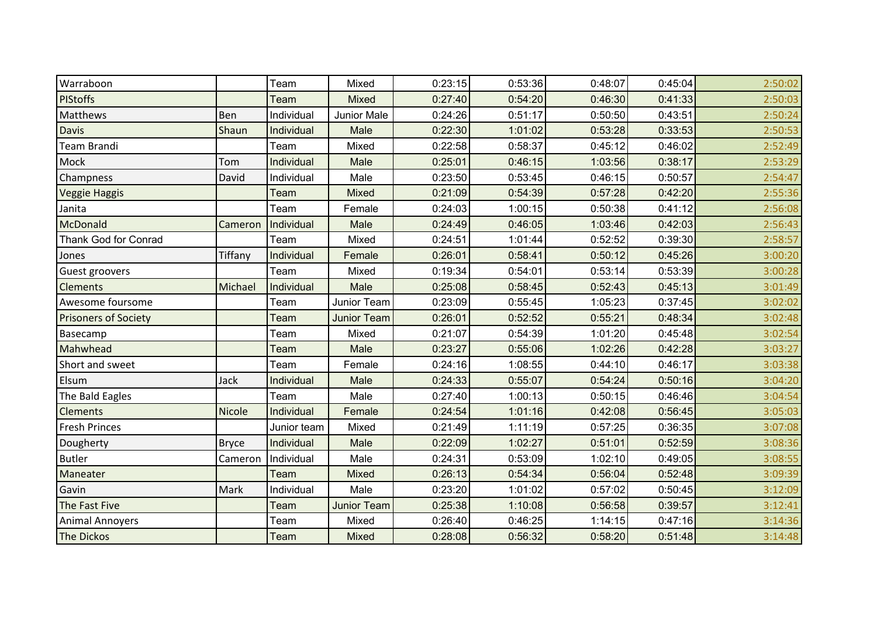| Warraboon                   |              | Team        | Mixed              | 0:23:15 | 0:53:36 | 0:48:07 | 0:45:04 | 2:50:02 |
|-----------------------------|--------------|-------------|--------------------|---------|---------|---------|---------|---------|
| <b>PIStoffs</b>             |              | Team        | <b>Mixed</b>       | 0:27:40 | 0:54:20 | 0:46:30 | 0:41:33 | 2:50:03 |
| <b>Matthews</b>             | Ben          | Individual  | Junior Male        | 0:24:26 | 0:51:17 | 0:50:50 | 0:43:51 | 2:50:24 |
| <b>Davis</b>                | Shaun        | Individual  | Male               | 0:22:30 | 1:01:02 | 0:53:28 | 0:33:53 | 2:50:53 |
| Team Brandi                 |              | Team        | Mixed              | 0:22:58 | 0:58:37 | 0:45:12 | 0:46:02 | 2:52:49 |
| Mock                        | Tom          | Individual  | Male               | 0:25:01 | 0:46:15 | 1:03:56 | 0:38:17 | 2:53:29 |
| Champness                   | David        | Individual  | Male               | 0:23:50 | 0:53:45 | 0:46:15 | 0:50:57 | 2:54:47 |
| <b>Veggie Haggis</b>        |              | Team        | <b>Mixed</b>       | 0:21:09 | 0:54:39 | 0:57:28 | 0:42:20 | 2:55:36 |
| Janita                      |              | Team        | Female             | 0:24:03 | 1:00:15 | 0:50:38 | 0:41:12 | 2:56:08 |
| McDonald                    | Cameron      | Individual  | Male               | 0:24:49 | 0:46:05 | 1:03:46 | 0:42:03 | 2:56:43 |
| Thank God for Conrad        |              | Team        | Mixed              | 0:24:51 | 1:01:44 | 0:52:52 | 0:39:30 | 2:58:57 |
| Jones                       | Tiffany      | Individual  | Female             | 0:26:01 | 0:58:41 | 0:50:12 | 0:45:26 | 3:00:20 |
| Guest groovers              |              | Team        | Mixed              | 0:19:34 | 0:54:01 | 0:53:14 | 0:53:39 | 3:00:28 |
| <b>Clements</b>             | Michael      | Individual  | Male               | 0:25:08 | 0:58:45 | 0:52:43 | 0:45:13 | 3:01:49 |
| Awesome foursome            |              | Team        | Junior Team        | 0:23:09 | 0:55:45 | 1:05:23 | 0:37:45 | 3:02:02 |
| <b>Prisoners of Society</b> |              | Team        | <b>Junior Team</b> | 0:26:01 | 0:52:52 | 0:55:21 | 0:48:34 | 3:02:48 |
| Basecamp                    |              | Team        | Mixed              | 0:21:07 | 0:54:39 | 1:01:20 | 0:45:48 | 3:02:54 |
| Mahwhead                    |              | Team        | Male               | 0:23:27 | 0:55:06 | 1:02:26 | 0:42:28 | 3:03:27 |
| Short and sweet             |              | Team        | Female             | 0:24:16 | 1:08:55 | 0:44:10 | 0:46:17 | 3:03:38 |
| Elsum                       | Jack         | Individual  | Male               | 0:24:33 | 0:55:07 | 0:54:24 | 0:50:16 | 3:04:20 |
| The Bald Eagles             |              | Team        | Male               | 0:27:40 | 1:00:13 | 0:50:15 | 0:46:46 | 3:04:54 |
| <b>Clements</b>             | Nicole       | Individual  | Female             | 0:24:54 | 1:01:16 | 0:42:08 | 0:56:45 | 3:05:03 |
| <b>Fresh Princes</b>        |              | Junior team | Mixed              | 0:21:49 | 1:11:19 | 0:57:25 | 0:36:35 | 3:07:08 |
| Dougherty                   | <b>Bryce</b> | Individual  | Male               | 0:22:09 | 1:02:27 | 0:51:01 | 0:52:59 | 3:08:36 |
| <b>Butler</b>               | Cameron      | Individual  | Male               | 0:24:31 | 0:53:09 | 1:02:10 | 0:49:05 | 3:08:55 |
| Maneater                    |              | Team        | <b>Mixed</b>       | 0:26:13 | 0:54:34 | 0:56:04 | 0:52:48 | 3:09:39 |
| Gavin                       | Mark         | Individual  | Male               | 0:23:20 | 1:01:02 | 0:57:02 | 0:50:45 | 3:12:09 |
| The Fast Five               |              | Team        | <b>Junior Team</b> | 0:25:38 | 1:10:08 | 0:56:58 | 0:39:57 | 3:12:41 |
| <b>Animal Annoyers</b>      |              | Team        | Mixed              | 0:26:40 | 0:46:25 | 1:14:15 | 0:47:16 | 3:14:36 |
| <b>The Dickos</b>           |              | Team        | <b>Mixed</b>       | 0:28:08 | 0:56:32 | 0:58:20 | 0:51:48 | 3:14:48 |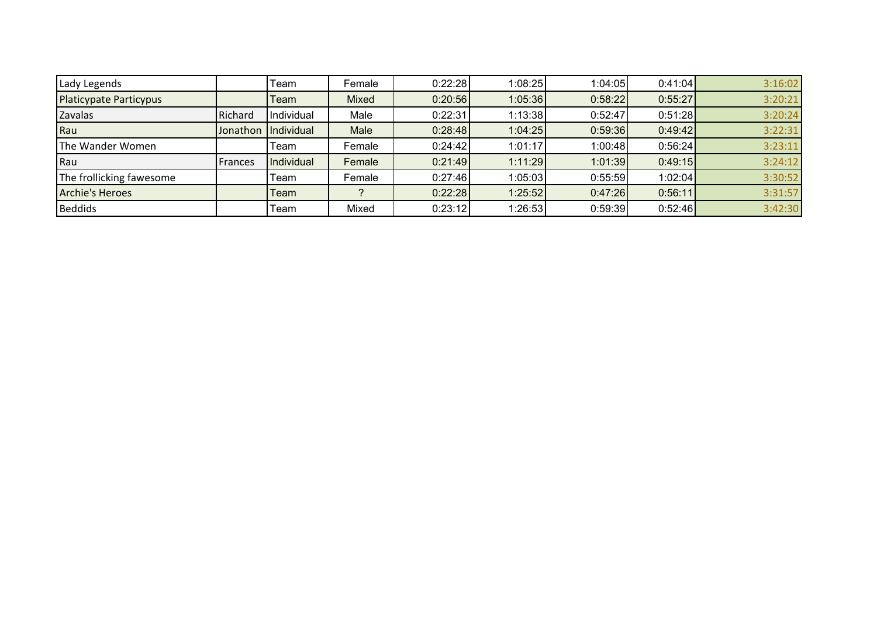| Lady Legends                  |          | Team       | Female | 0:22:28 | 1:08:25 | 1:04:05 | 0:41:04 | 3:16:02 |
|-------------------------------|----------|------------|--------|---------|---------|---------|---------|---------|
| <b>Platicypate Particypus</b> |          | Team       | Mixed  | 0:20:56 | 1:05:36 | 0:58:22 | 0:55:27 | 3:20:21 |
| Zavalas                       | Richard  | Individual | Male   | 0:22:31 | 1:13:38 | 0:52:47 | 0:51:28 | 3:20:24 |
| Rau                           | Jonathon | Individual | Male   | 0:28:48 | 1:04:25 | 0:59:36 | 0:49:42 | 3:22:31 |
| The Wander Women              |          | Team       | Female | 0:24:42 | 1:01:17 | 1:00:48 | 0:56:24 | 3:23:11 |
| Rau                           | Frances  | Individual | Female | 0:21:49 | 1:11:29 | 1:01:39 | 0:49:15 | 3:24:12 |
| The frollicking fawesome      |          | Team       | Female | 0:27:46 | 1:05:03 | 0:55:59 | 1:02:04 | 3:30:52 |
| <b>Archie's Heroes</b>        |          | Team       |        | 0:22:28 | 1:25:52 | 0:47:26 | 0:56:11 | 3:31:57 |
| <b>Beddids</b>                |          | Team       | Mixed  | 0:23:12 | 1:26:53 | 0:59:39 | 0:52:46 | 3:42:30 |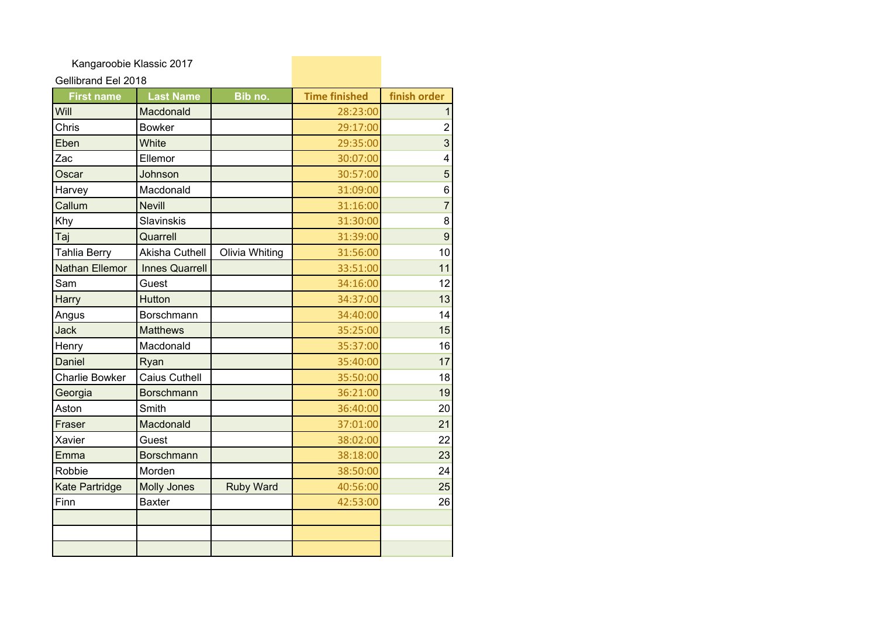Kangaroobie Klassic 2017

## Gellibrand Eel 2018

| <b>First name</b>     | <b>Last Name</b>      | Bib no.          | <b>Time finished</b> | finish order   |
|-----------------------|-----------------------|------------------|----------------------|----------------|
| Will                  | Macdonald             |                  | 28:23:00             | 1              |
| Chris                 | <b>Bowker</b>         |                  | 29:17:00             | $\overline{2}$ |
| Eben                  | White                 |                  | 29:35:00             | 3              |
| Zac                   | Ellemor               |                  | 30:07:00             | 4              |
| Oscar                 | Johnson               |                  | 30:57:00             | 5              |
| Harvey                | Macdonald             |                  | 31:09:00             | 6              |
| Callum                | <b>Nevill</b>         |                  | 31:16:00             | $\overline{7}$ |
| Khy                   | Slavinskis            |                  | 31:30:00             | 8              |
| Taj                   | Quarrell              |                  | 31:39:00             | 9              |
| Tahlia Berry          | Akisha Cuthell        | Olivia Whiting   | 31:56:00             | 10             |
| <b>Nathan Ellemor</b> | <b>Innes Quarrell</b> |                  | 33:51:00             | 11             |
| Sam                   | Guest                 |                  | 34:16:00             | 12             |
| Harry                 | Hutton                |                  | 34:37:00             | 13             |
| Angus                 | Borschmann            |                  | 34:40:00             | 14             |
| <b>Jack</b>           | <b>Matthews</b>       |                  | 35:25:00             | 15             |
| Henry                 | Macdonald             |                  | 35:37:00             | 16             |
| Daniel                | Ryan                  |                  | 35:40:00             | 17             |
| <b>Charlie Bowker</b> | <b>Caius Cuthell</b>  |                  | 35:50:00             | 18             |
| Georgia               | <b>Borschmann</b>     |                  | 36:21:00             | 19             |
| Aston                 | Smith                 |                  | 36:40:00             | 20             |
| Fraser                | Macdonald             |                  | 37:01:00             | 21             |
| Xavier                | Guest                 |                  | 38:02:00             | 22             |
| Emma                  | <b>Borschmann</b>     |                  | 38:18:00             | 23             |
| Robbie                | Morden                |                  | 38:50:00             | 24             |
| <b>Kate Partridge</b> | <b>Molly Jones</b>    | <b>Ruby Ward</b> | 40:56:00             | 25             |
| Finn                  | <b>Baxter</b>         |                  | 42:53:00             | 26             |
|                       |                       |                  |                      |                |
|                       |                       |                  |                      |                |
|                       |                       |                  |                      |                |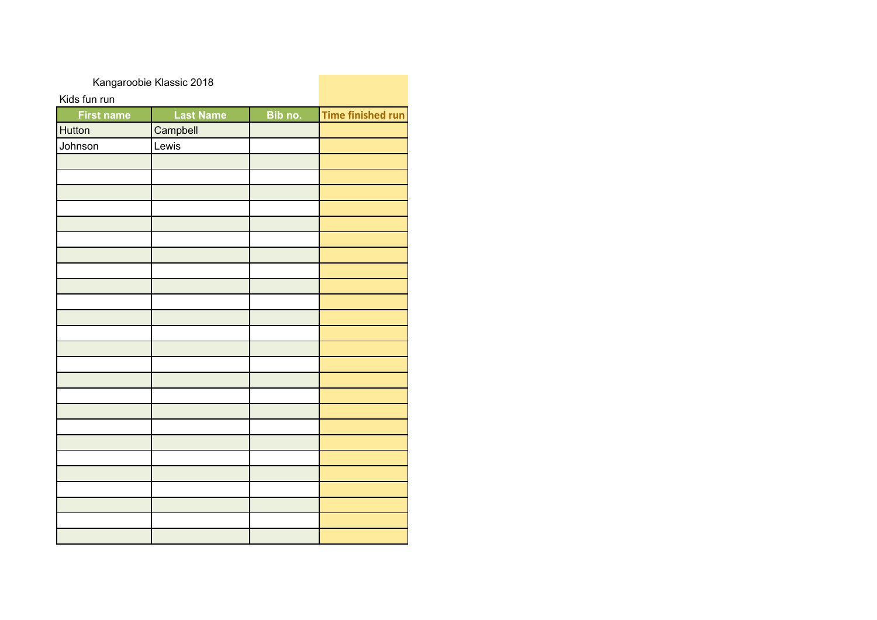| Kangaroobie Klassic 2018 |                  |         |                          |
|--------------------------|------------------|---------|--------------------------|
| Kids fun run             |                  |         |                          |
| <b>First name</b>        | <b>Last Name</b> | Bib no. | <b>Time finished run</b> |
| Hutton                   | Campbell         |         |                          |
| Johnson                  | Lewis            |         |                          |
|                          |                  |         |                          |
|                          |                  |         |                          |
|                          |                  |         |                          |
|                          |                  |         |                          |
|                          |                  |         |                          |
|                          |                  |         |                          |
|                          |                  |         |                          |
|                          |                  |         |                          |
|                          |                  |         |                          |
|                          |                  |         |                          |
|                          |                  |         |                          |
|                          |                  |         |                          |
|                          |                  |         |                          |
|                          |                  |         |                          |
|                          |                  |         |                          |
|                          |                  |         |                          |
|                          |                  |         |                          |
|                          |                  |         |                          |
|                          |                  |         |                          |
|                          |                  |         |                          |
|                          |                  |         |                          |
|                          |                  |         |                          |
|                          |                  |         |                          |
|                          |                  |         |                          |
|                          |                  |         |                          |